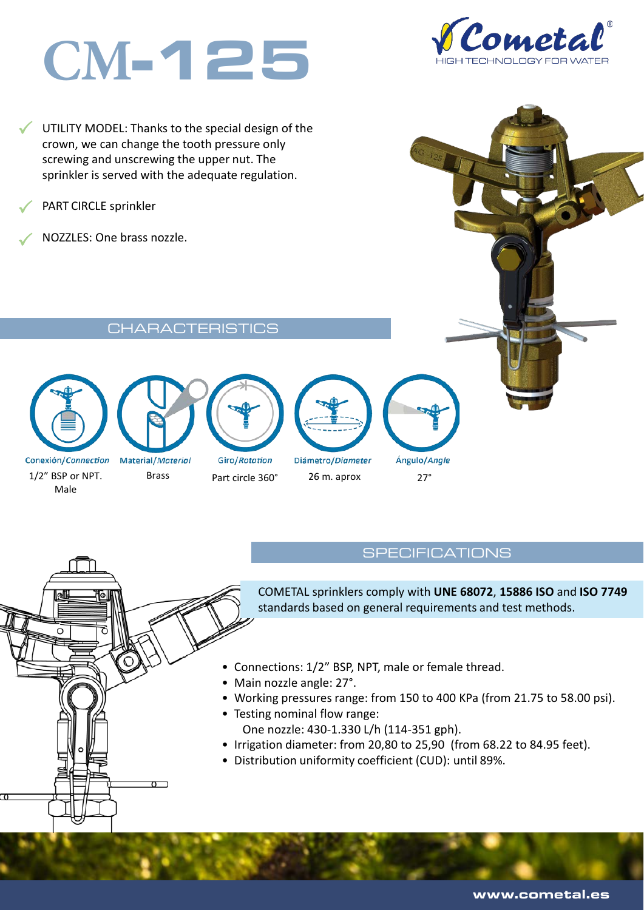# **CM**-125

 $\checkmark$ UTILITY MODEL: Thanks to the special design of the crown, we can change the tooth pressure only screwing and unscrewing the upper nut. The sprinkler is served with the adequate regulation.

 $\checkmark$ PART CIRCLE sprinkler

NOZZLES: One brass nozzle.

#### **CHARACTERISTICS**



1/2" BSP or NPT. Male

 $\Omega$ 



Material/Material

Brass Part circle 360° 26 m. aprox 27°

Giro/Rotation

Diámetro/Diameter

Ángulo/Angle

#### **SPECIFICATIONS**

COMETAL sprinklers comply with **UNE 68072**, **15886 ISO** and **ISO 7749**  standards based on general requirements and test methods.

- Connections: 1/2" BSP, NPT, male or female thread.
- Main nozzle angle: 27°.
- Working pressures range: from 150 to 400 KPa (from 21.75 to 58.00 psi).
- Testing nominal flow range: One nozzle: 430-1.330 L/h (114-351 gph).
- Irrigation diameter: from 20,80 to 25,90 (from 68.22 to 84.95 feet).
- Distribution uniformity coefficient (CUD): until 89%.

Cometa

www.cometal.es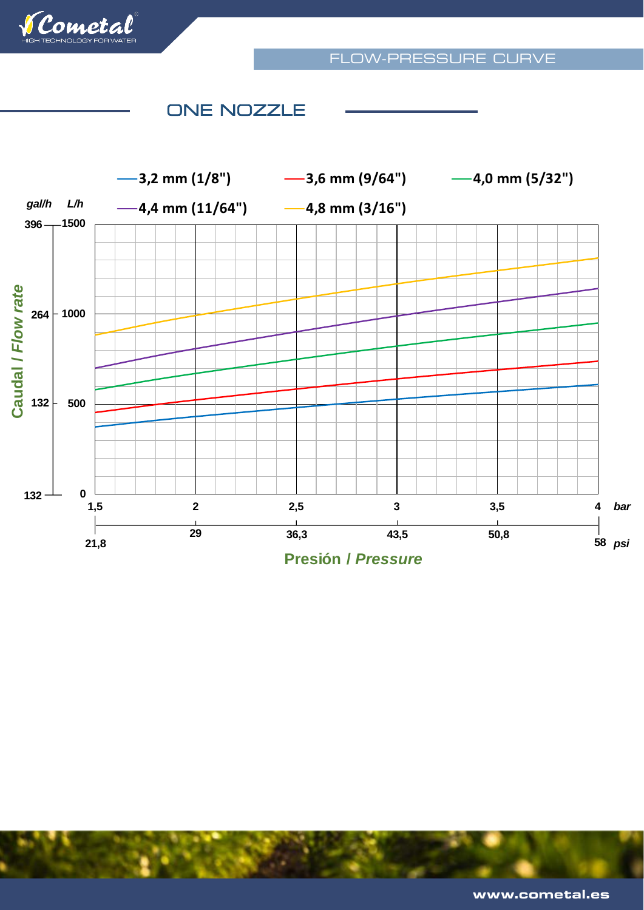

## ONE NOZZLE



**Presión /** *Pressure*

www.cometal.es